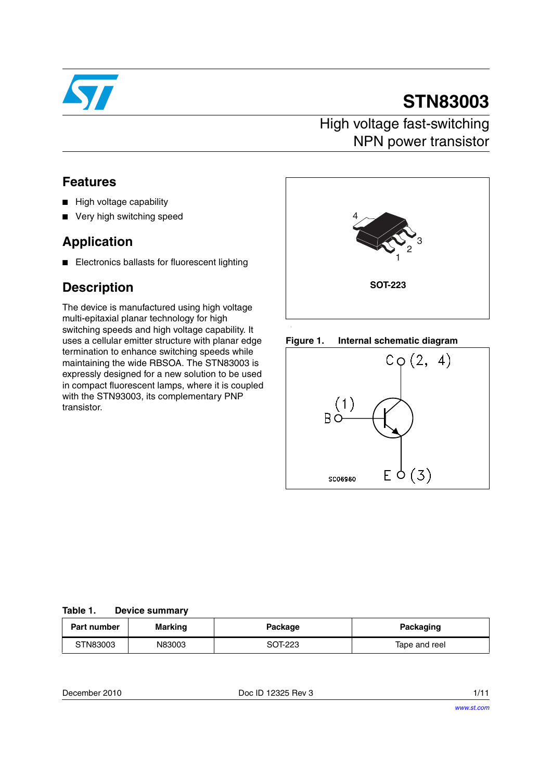

# **STN83003**

## High voltage fast-switching NPN power transistor

### **Features**

- High voltage capability
- Very high switching speed

## **Application**

■ Electronics ballasts for fluorescent lighting

### **Description**

The device is manufactured using high voltage multi-epitaxial planar technology for high switching speeds and high voltage capability. It uses a cellular emitter structure with planar edge termination to enhance switching speeds while maintaining the wide RBSOA. The STN83003 is expressly designed for a new solution to be used in compact fluorescent lamps, where it is coupled with the STN93003, its complementary PNP transistor.







#### **Table 1. Device summary**

| Part number | Marking | Package | Packaging     |
|-------------|---------|---------|---------------|
| STN83003    | N83003  | SOT-223 | Tape and reel |

December 2010 Doc ID 12325 Rev 3 1/11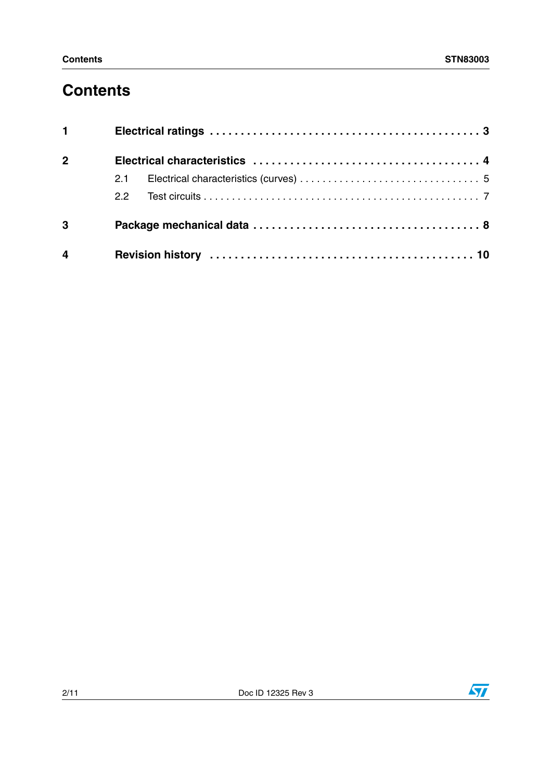# **Contents**

| $1 \qquad \qquad$ |               |  |  |
|-------------------|---------------|--|--|
| 2 <sup>1</sup>    |               |  |  |
|                   | 2.1           |  |  |
|                   | $2.2^{\circ}$ |  |  |
| $\mathbf{3}$      |               |  |  |
| $\overline{4}$    |               |  |  |

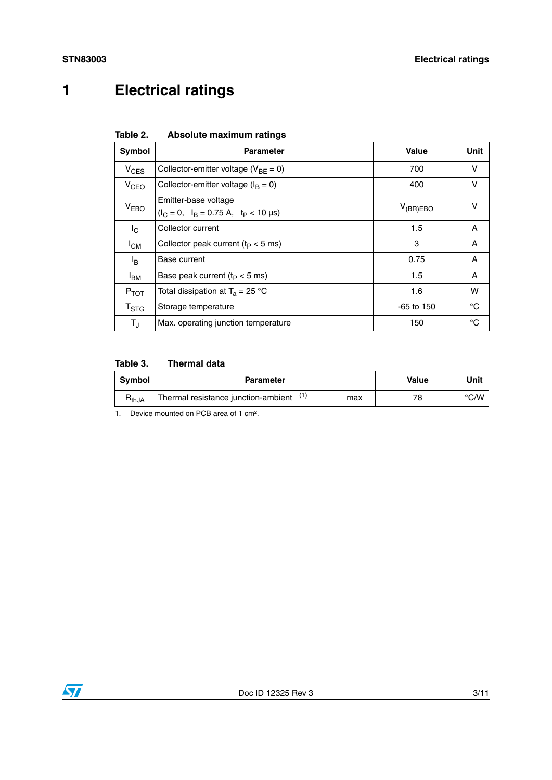# <span id="page-2-0"></span>**1 Electrical ratings**

| Table 2. | Absolute maximum ratings |  |
|----------|--------------------------|--|
|          |                          |  |

| Symbol                                                                                | <b>Parameter</b>                           | Value         | Unit |
|---------------------------------------------------------------------------------------|--------------------------------------------|---------------|------|
| $V_{CES}$                                                                             | Collector-emitter voltage ( $V_{BE} = 0$ ) | 700           | v    |
| $V_{\text{CEO}}$                                                                      | Collector-emitter voltage ( $I_B = 0$ )    | 400           | v    |
| Emitter-base voltage<br>V <sub>EBO</sub><br>$(l_C = 0, l_B = 0.75 A, t_P < 10 \mu s)$ |                                            | $V_{(BR)EBO}$ | v    |
| $I_{\rm C}$                                                                           | Collector current                          | 1.5           | A    |
| <sup>I</sup> CM                                                                       | Collector peak current ( $t_P < 5$ ms)     | 3             | A    |
| l <sub>B</sub>                                                                        | Base current                               | 0.75          | A    |
| <sup>I</sup> BM                                                                       | Base peak current $(t_P < 5$ ms)           | 1.5           | A    |
| $P_{TOT}$                                                                             | Total dissipation at $T_a = 25$ °C         | 1.6           | w    |
| $\mathsf{T}_{\text{STG}}$                                                             | Storage temperature                        | $-65$ to 150  | °C   |
| $T_{\rm J}$                                                                           | Max. operating junction temperature        | 150           | °C   |

### **Table 3. Thermal data**

| <b>Symbol</b> | <b>Parameter</b>                                  | Value | Unit |
|---------------|---------------------------------------------------|-------|------|
| $H_{thJA}$    | (1)<br>Thermal resistance junction-ambient<br>max | 78    | °C/W |

1. Device mounted on PCB area of 1 cm².

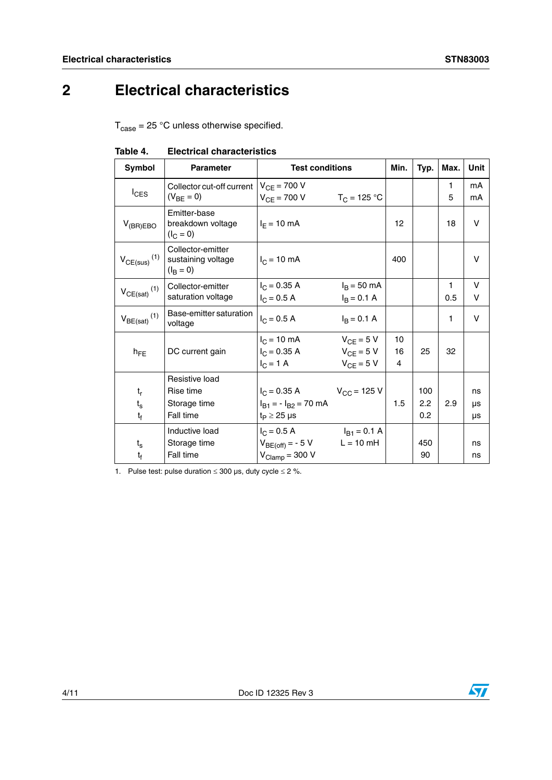# <span id="page-3-0"></span>**2 Electrical characteristics**

 $T_{\text{case}} = 25 \text{ °C}$  unless otherwise specified.

| Symbol                          | <b>Parameter</b>                                         | <b>Test conditions</b>                                              |                                                    | Min.              | Typ.              | Max.     | Unit           |
|---------------------------------|----------------------------------------------------------|---------------------------------------------------------------------|----------------------------------------------------|-------------------|-------------------|----------|----------------|
| $I_{CES}$                       | Collector cut-off current<br>$(V_{BF} = 0)$              | $V_{CE} = 700 V$<br>$V_{CF} = 700 V$                                | $T_C = 125 °C$                                     |                   |                   | 1<br>5   | mA<br>mA       |
| $V_{(BR)EBO}$                   | Emitter-base<br>breakdown voltage<br>$(I_C = 0)$         | $I_F = 10 \text{ mA}$                                               |                                                    | $12 \overline{ }$ |                   | 18       | v              |
| $V_{CE(sus)}$ <sup>(1)</sup>    | Collector-emitter<br>sustaining voltage<br>$(I_{B} = 0)$ | $I_C = 10$ mA                                                       |                                                    | 400               |                   |          | v              |
| $V_{CE(sat)}$ <sup>(1)</sup>    | Collector-emitter<br>saturation voltage                  | $I_C = 0.35 A$<br>$I_C = 0.5 A$                                     | $I_B = 50$ mA<br>$I_B = 0.1 A$                     |                   |                   | 1<br>0.5 | v<br>v         |
| $V_{BE(sat)}$ <sup>(1)</sup>    | Base-emitter saturation<br>voltage                       | $I_C = 0.5 A$                                                       | $I_B = 0.1 A$                                      |                   |                   | 1        | v              |
| $h_{\text{FF}}$                 | DC current gain                                          | $I_C = 10$ mA<br>$I_C = 0.35 A$<br>$I_C = 1 A$                      | $V_{CE} = 5 V$<br>$V_{CE} = 5 V$<br>$V_{CF} = 5 V$ | 10<br>16<br>4     | 25                | 32       |                |
| $t_{r}$<br>$t_{\rm s}$<br>$t_f$ | Resistive load<br>Rise time<br>Storage time<br>Fall time | $I_C = 0.35 A$<br>$I_{B1} = -I_{B2} = 70$ mA<br>$t_P \geq 25 \mu s$ | $V_{\rm CC}$ = 125 V                               | 1.5               | 100<br>2.2<br>0.2 | 2.9      | ns<br>μs<br>μs |
| $t_{\rm s}$<br>$t_{\rm f}$      | Inductive load<br>Storage time<br>Fall time              | $I_C = 0.5 A$<br>$V_{BE(off)} = -5 V$<br>$V_{Clamp} = 300 V$        | $I_{B1} = 0.1 A$<br>$L = 10$ mH                    |                   | 450<br>90         |          | ns<br>ns       |

#### **Table 4. Electrical characteristics**

1. Pulse test: pulse duration  $\leq 300$  µs, duty cycle  $\leq 2$  %.

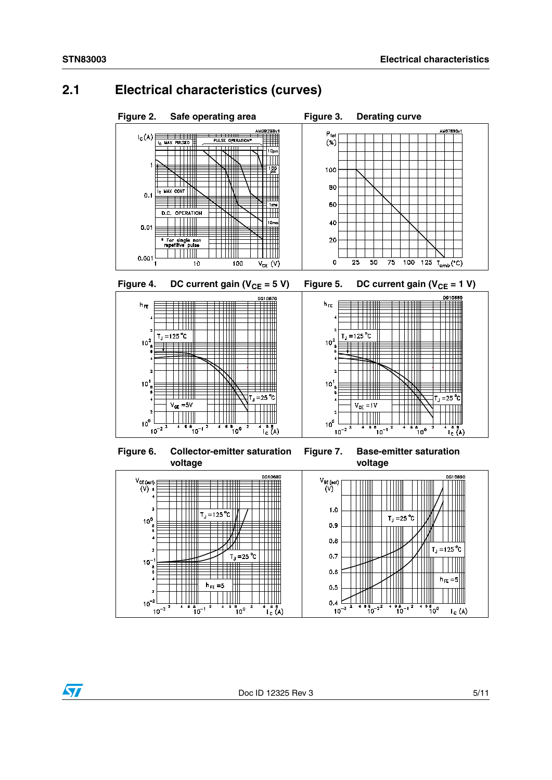$\sqrt{2}$ 

### <span id="page-4-0"></span>**2.1 Electrical characteristics (curves)**

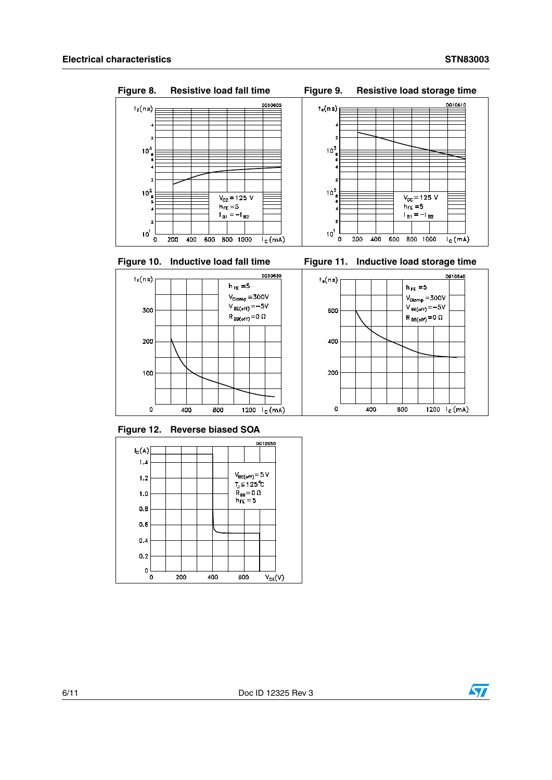$10<sup>2</sup><sub>8</sub>$ 

 $\ddot{\mathbf{6}}$ 

 $\overline{4}$ 

 $\overline{\mathbf{z}}$ 

 $\overline{0}$ 200 400 600

 $10<sup>1</sup>$ 



 $\overline{V_{\text{CC}} = 125 \text{ V}}$ 

 $h_{FE} = 5$ 

 $1_{B1} = -1_{B2}$ 

800 1000

 $I_c(mA)$ 

**Figure 8. Resistive load fall time Figure 9. Resistive load storage time**











**Figure 12. Reverse biased SOA**



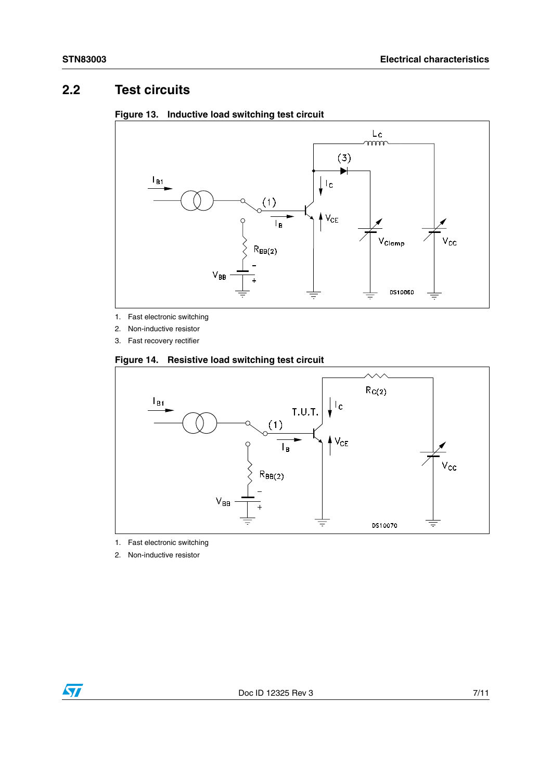### <span id="page-6-0"></span>**2.2 Test circuits**



### **Figure 13. Inductive load switching test circuit**

- 1. Fast electronic switching
- 2. Non-inductive resistor
- 3. Fast recovery rectifier

#### **Figure 14. Resistive load switching test circuit**



- 1. Fast electronic switching
- 2. Non-inductive resistor

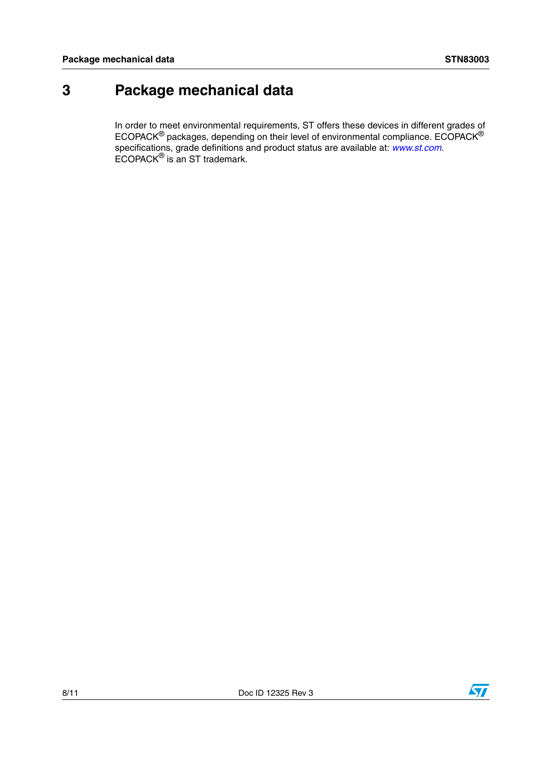# <span id="page-7-0"></span>**3 Package mechanical data**

In order to meet environmental requirements, ST offers these devices in different grades of ECOPACK $^{\circledR}$  packages, depending on their level of environmental compliance. ECOPACK $^{\circledR}$ specifications, grade definitions and product status are available at: *[www.st.com](http://www.st.com)*. ECOPACK® is an ST trademark.

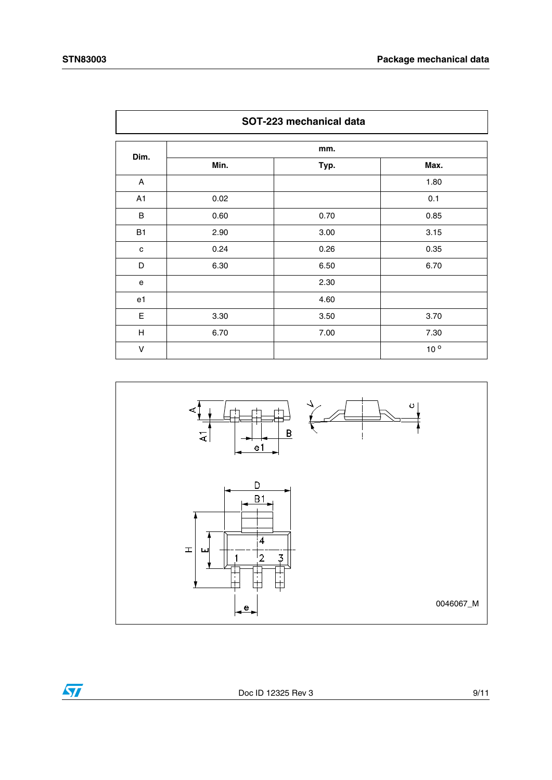<span id="page-8-0"></span>

| SOT-223 mechanical data |      |      |                 |  |
|-------------------------|------|------|-----------------|--|
|                         |      | mm.  |                 |  |
| Dim.                    | Min. | Typ. | Max.            |  |
| A                       |      |      | 1.80            |  |
| A1                      | 0.02 |      | 0.1             |  |
| B                       | 0.60 | 0.70 | 0.85            |  |
| <b>B1</b>               | 2.90 | 3.00 | 3.15            |  |
| c                       | 0.24 | 0.26 | 0.35            |  |
| D                       | 6.30 | 6.50 | 6.70            |  |
| e                       |      | 2.30 |                 |  |
| e1                      |      | 4.60 |                 |  |
| Е                       | 3.30 | 3.50 | 3.70            |  |
| н                       | 6.70 | 7.00 | 7.30            |  |
| V                       |      |      | 10 <sup>o</sup> |  |



 $\overline{\mathbf{H}}$ 

Doc ID 12325 Rev 3 9/11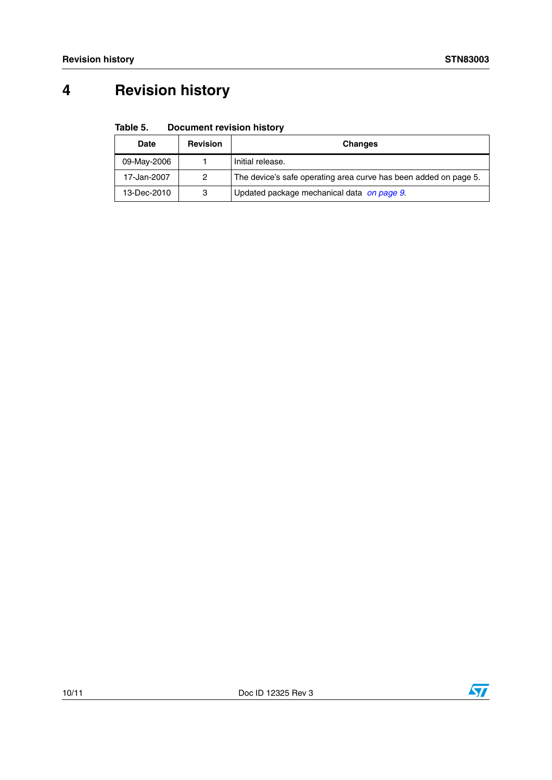# <span id="page-9-0"></span>**4 Revision history**

#### Table 5. **Document revision history**

| <b>Date</b> | <b>Revision</b> | <b>Changes</b>                                                   |
|-------------|-----------------|------------------------------------------------------------------|
| 09-May-2006 |                 | Initial release.                                                 |
| 17-Jan-2007 | 2               | The device's safe operating area curve has been added on page 5. |
| 13-Dec-2010 | 3               | Updated package mechanical data on page 9.                       |